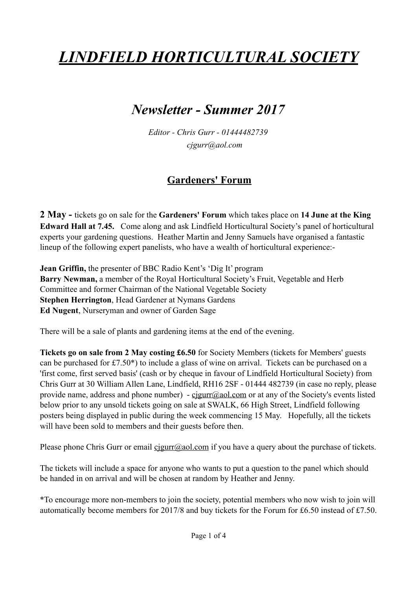# *LINDFIELD HORTICULTURAL SOCIETY*

## *Newsletter - Summer 2017*

*Editor - Chris Gurr - 01444482739 cjgurr@aol.com*

### **Gardeners' Forum**

**2 May -** tickets go on sale for the **Gardeners' Forum** which takes place on **14 June at the King Edward Hall at 7.45.** Come along and ask Lindfield Horticultural Society's panel of horticultural experts your gardening questions. Heather Martin and Jenny Samuels have organised a fantastic lineup of the following expert panelists, who have a wealth of horticultural experience:-

**Jean Griffin,** the presenter of BBC Radio Kent's 'Dig It' program **Barry Newman,** a member of the Royal Horticultural Society's Fruit, Vegetable and Herb Committee and former Chairman of the National Vegetable Society **Stephen Herrington**, Head Gardener at Nymans Gardens **Ed Nugent**, Nurseryman and owner of Garden Sage

There will be a sale of plants and gardening items at the end of the evening.

**Tickets go on sale from 2 May costing £6.50** for Society Members (tickets for Members' guests can be purchased for £7.50\*) to include a glass of wine on arrival. Tickets can be purchased on a 'first come, first served basis' (cash or by cheque in favour of Lindfield Horticultural Society) from Chris Gurr at 30 William Allen Lane, Lindfield, RH16 2SF - 01444 482739 (in case no reply, please provide name, address and phone number) - [cjgurr@aol.com](mailto:cjgurr@aol.com) or at any of the Society's events listed below prior to any unsold tickets going on sale at SWALK, 66 High Street, Lindfield following posters being displayed in public during the week commencing 15 May. Hopefully, all the tickets will have been sold to members and their guests before then.

Please phone Chris Gurr or email [cjgurr@aol.com](mailto:cjgurr@aol.com) if you have a query about the purchase of tickets.

The tickets will include a space for anyone who wants to put a question to the panel which should be handed in on arrival and will be chosen at random by Heather and Jenny.

\*To encourage more non-members to join the society, potential members who now wish to join will automatically become members for 2017/8 and buy tickets for the Forum for £6.50 instead of £7.50.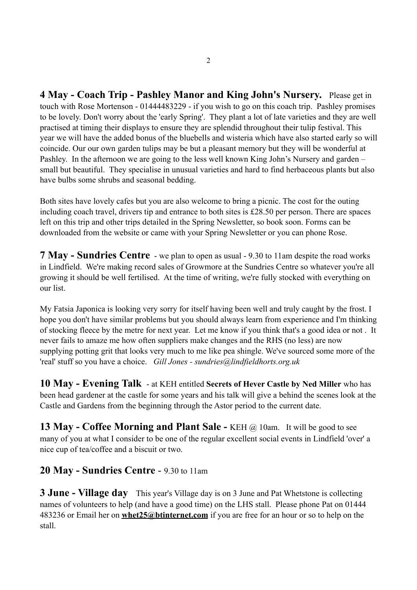**4 May - Coach Trip - Pashley Manor and King John's Nursery.** Please get in touch with Rose Mortenson - 01444483229 - if you wish to go on this coach trip. Pashley promises to be lovely. Don't worry about the 'early Spring'. They plant a lot of late varieties and they are well practised at timing their displays to ensure they are splendid throughout their tulip festival. This year we will have the added bonus of the bluebells and wisteria which have also started early so will coincide. Our our own garden tulips may be but a pleasant memory but they will be wonderful at Pashley. In the afternoon we are going to the less well known King John's Nursery and garden – small but beautiful. They specialise in unusual varieties and hard to find herbaceous plants but also have bulbs some shrubs and seasonal bedding.

Both sites have lovely cafes but you are also welcome to bring a picnic. The cost for the outing including coach travel, drivers tip and entrance to both sites is £28.50 per person. There are spaces left on this trip and other trips detailed in the Spring Newsletter, so book soon. Forms can be downloaded from the website or came with your Spring Newsletter or you can phone Rose.

**7 May - Sundries Centre** - we plan to open as usual - 9.30 to 11am despite the road works in Lindfield. We're making record sales of Growmore at the Sundries Centre so whatever you're all growing it should be well fertilised. At the time of writing, we're fully stocked with everything on our list.

My Fatsia Japonica is looking very sorry for itself having been well and truly caught by the frost. I hope you don't have similar problems but you should always learn from experience and I'm thinking of stocking fleece by the metre for next year. Let me know if you think that's a good idea or not . It never fails to amaze me how often suppliers make changes and the RHS (no less) are now supplying potting grit that looks very much to me like pea shingle. We've sourced some more of the 'real' stuff so you have a choice. *Gill Jones - [sundries@lindfieldhorts.org.uk](mailto:sundries@lindfieldhorts.org.uk)*

**10 May - Evening Talk** - at KEH entitled **Secrets of Hever Castle by Ned Miller** who has been head gardener at the castle for some years and his talk will give a behind the scenes look at the Castle and Gardens from the beginning through the Astor period to the current date.

**13 May - Coffee Morning and Plant Sale - KEH @ 10am.** It will be good to see many of you at what I consider to be one of the regular excellent social events in Lindfield 'over' a nice cup of tea/coffee and a biscuit or two.

#### **20 May - Sundries Centre** - 9.30 to 11am

**3 June - Village day** This year's Village day is on 3 June and Pat Whetstone is collecting names of volunteers to help (and have a good time) on the LHS stall. Please phone Pat on 01444 483236 or Email her on **[whet25@btinternet.com](mailto:whet25@btinternet.com)** if you are free for an hour or so to help on the stall.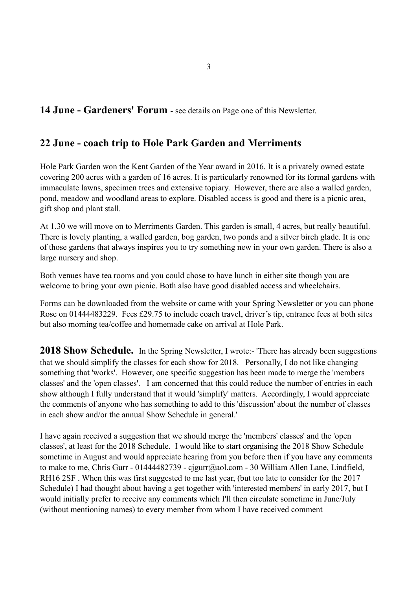#### **14 June - Gardeners' Forum** - see details on Page one of this Newsletter.

#### **22 June - coach trip to Hole Park Garden and Merriments**

Hole Park Garden won the Kent Garden of the Year award in 2016. It is a privately owned estate covering 200 acres with a garden of 16 acres. It is particularly renowned for its formal gardens with immaculate lawns, specimen trees and extensive topiary. However, there are also a walled garden, pond, meadow and woodland areas to explore. Disabled access is good and there is a picnic area, gift shop and plant stall.

At 1.30 we will move on to Merriments Garden. This garden is small, 4 acres, but really beautiful. There is lovely planting, a walled garden, bog garden, two ponds and a silver birch glade. It is one of those gardens that always inspires you to try something new in your own garden. There is also a large nursery and shop.

Both venues have tea rooms and you could chose to have lunch in either site though you are welcome to bring your own picnic. Both also have good disabled access and wheelchairs.

Forms can be downloaded from the website or came with your Spring Newsletter or you can phone Rose on 01444483229. Fees £29.75 to include coach travel, driver's tip, entrance fees at both sites but also morning tea/coffee and homemade cake on arrival at Hole Park.

**2018 Show Schedule.** In the Spring Newsletter, I wrote:- 'There has already been suggestions that we should simplify the classes for each show for 2018. Personally, I do not like changing something that 'works'. However, one specific suggestion has been made to merge the 'members classes' and the 'open classes'. I am concerned that this could reduce the number of entries in each show although I fully understand that it would 'simplify' matters. Accordingly, I would appreciate the comments of anyone who has something to add to this 'discussion' about the number of classes in each show and/or the annual Show Schedule in general.'

I have again received a suggestion that we should merge the 'members' classes' and the 'open classes', at least for the 2018 Schedule. I would like to start organising the 2018 Show Schedule sometime in August and would appreciate hearing from you before then if you have any comments to make to me, Chris Gurr - 01444482739 - [cjgurr@aol.com](mailto:cjgurr@aol.com) - 30 William Allen Lane, Lindfield, RH16 2SF . When this was first suggested to me last year, (but too late to consider for the 2017 Schedule) I had thought about having a get together with 'interested members' in early 2017, but I would initially prefer to receive any comments which I'll then circulate sometime in June/July (without mentioning names) to every member from whom I have received comment